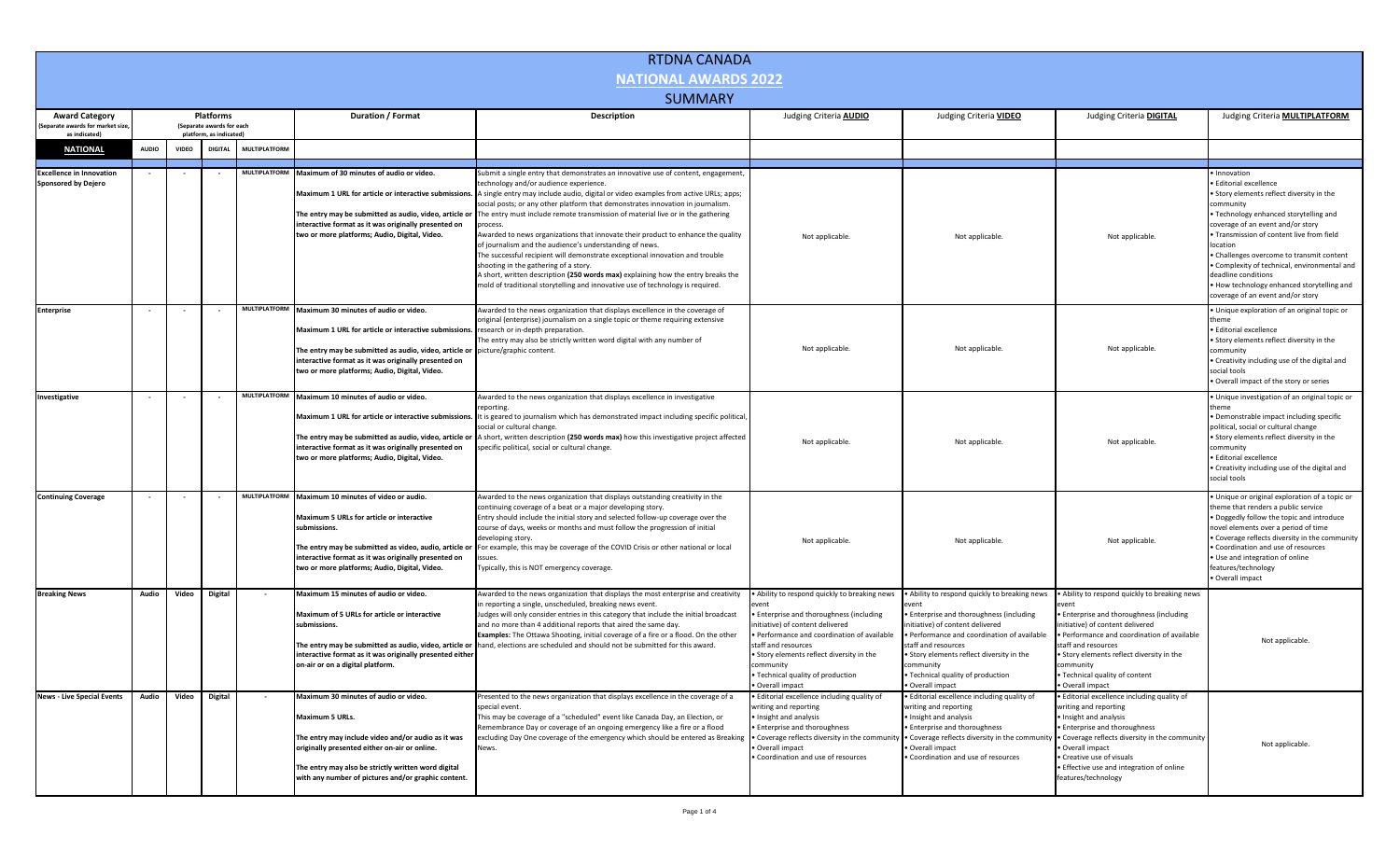| <b>RTDNA CANADA</b>                                                       |                                                                   |                          |                |                      |                                                                                                                                                                                                                                                                                 |                                                                                                                                                                                                                                                                                                                                                                                                                                                                                                                                                                                                                                                                                                                                                                                                                                                    |                                                                                                                                                                                                                                                                                                            |                                                                                                                                                                                                                                                                                                                      |                                                                                                                                                                                                                                                                                                              |                                                                                                                                                                                                                                                                                                                                                                                                                                                 |
|---------------------------------------------------------------------------|-------------------------------------------------------------------|--------------------------|----------------|----------------------|---------------------------------------------------------------------------------------------------------------------------------------------------------------------------------------------------------------------------------------------------------------------------------|----------------------------------------------------------------------------------------------------------------------------------------------------------------------------------------------------------------------------------------------------------------------------------------------------------------------------------------------------------------------------------------------------------------------------------------------------------------------------------------------------------------------------------------------------------------------------------------------------------------------------------------------------------------------------------------------------------------------------------------------------------------------------------------------------------------------------------------------------|------------------------------------------------------------------------------------------------------------------------------------------------------------------------------------------------------------------------------------------------------------------------------------------------------------|----------------------------------------------------------------------------------------------------------------------------------------------------------------------------------------------------------------------------------------------------------------------------------------------------------------------|--------------------------------------------------------------------------------------------------------------------------------------------------------------------------------------------------------------------------------------------------------------------------------------------------------------|-------------------------------------------------------------------------------------------------------------------------------------------------------------------------------------------------------------------------------------------------------------------------------------------------------------------------------------------------------------------------------------------------------------------------------------------------|
| <b>NATIONAL AWARDS 2022</b>                                               |                                                                   |                          |                |                      |                                                                                                                                                                                                                                                                                 |                                                                                                                                                                                                                                                                                                                                                                                                                                                                                                                                                                                                                                                                                                                                                                                                                                                    |                                                                                                                                                                                                                                                                                                            |                                                                                                                                                                                                                                                                                                                      |                                                                                                                                                                                                                                                                                                              |                                                                                                                                                                                                                                                                                                                                                                                                                                                 |
| <b>SUMMARY</b>                                                            |                                                                   |                          |                |                      |                                                                                                                                                                                                                                                                                 |                                                                                                                                                                                                                                                                                                                                                                                                                                                                                                                                                                                                                                                                                                                                                                                                                                                    |                                                                                                                                                                                                                                                                                                            |                                                                                                                                                                                                                                                                                                                      |                                                                                                                                                                                                                                                                                                              |                                                                                                                                                                                                                                                                                                                                                                                                                                                 |
| <b>Award Category</b><br>Separate awards for market size<br>as indicated) | Platforms<br>(Separate awards for each<br>platform, as indicated) |                          |                | Duration / Format    | <b>Description</b>                                                                                                                                                                                                                                                              | Judging Criteria <b>AUDIO</b>                                                                                                                                                                                                                                                                                                                                                                                                                                                                                                                                                                                                                                                                                                                                                                                                                      | Judging Criteria VIDEO                                                                                                                                                                                                                                                                                     | Judging Criteria DIGITAL                                                                                                                                                                                                                                                                                             | Judging Criteria <b>MULTIPLATFORM</b>                                                                                                                                                                                                                                                                        |                                                                                                                                                                                                                                                                                                                                                                                                                                                 |
| <b>NATIONAL</b>                                                           | <b>AUDIO</b>                                                      | <b>VIDEO</b>             | <b>DIGITA</b>  | <b>MULTIPLATFORM</b> |                                                                                                                                                                                                                                                                                 |                                                                                                                                                                                                                                                                                                                                                                                                                                                                                                                                                                                                                                                                                                                                                                                                                                                    |                                                                                                                                                                                                                                                                                                            |                                                                                                                                                                                                                                                                                                                      |                                                                                                                                                                                                                                                                                                              |                                                                                                                                                                                                                                                                                                                                                                                                                                                 |
| <b>Excellence in Innovation</b><br><b>Sponsored by Dejero</b>             |                                                                   |                          | $\sim$         | <b>MULTIPLATFORM</b> | Maximum of 30 minutes of audio or video.<br>Maximum 1 URL for article or interactive submission<br>The entry may be submitted as audio, video, article o<br>interactive format as it was originally presented on<br>two or more platforms; Audio, Digital, Video.               | Submit a single entry that demonstrates an innovative use of content, engagement,<br>technology and/or audience experience.<br>A single entry may include audio, digital or video examples from active URLs; apps;<br>social posts; or any other platform that demonstrates innovation in journalism.<br>The entry must include remote transmission of material live or in the gathering<br>process.<br>Awarded to news organizations that innovate their product to enhance the quality<br>of journalism and the audience's understanding of news.<br>The successful recipient will demonstrate exceptional innovation and trouble<br>shooting in the gathering of a story.<br>A short, written description (250 words max) explaining how the entry breaks the<br>mold of traditional storytelling and innovative use of technology is required. | Not applicable.                                                                                                                                                                                                                                                                                            | Not applicable.                                                                                                                                                                                                                                                                                                      | Not applicable.                                                                                                                                                                                                                                                                                              | · Innovation<br>· Editorial excellence<br>. Story elements reflect diversity in the<br>community<br>. Technology enhanced storytelling and<br>coverage of an event and/or story<br>. Transmission of content live from field<br>location<br>• Challenges overcome to transmit content<br>• Complexity of technical, environmental and<br>deadline conditions<br>. How technology enhanced storytelling and<br>coverage of an event and/or story |
| <b>Enterprise</b>                                                         |                                                                   |                          |                |                      | MULTIPLATFORM Maximum 30 minutes of audio or video.<br>Maximum 1 URL for article or interactive submissions.<br>The entry may be submitted as audio, video, article or<br>interactive format as it was originally presented on<br>two or more platforms; Audio, Digital, Video. | Awarded to the news organization that displays excellence in the coverage of<br>original (enterprise) journalism on a single topic or theme requiring extensive<br>research or in-depth preparation.<br>The entry may also be strictly written word digital with any number of<br>picture/graphic content.                                                                                                                                                                                                                                                                                                                                                                                                                                                                                                                                         | Not applicable.                                                                                                                                                                                                                                                                                            | Not applicable.                                                                                                                                                                                                                                                                                                      | Not applicable.                                                                                                                                                                                                                                                                                              | · Unique exploration of an original topic or<br>theme<br>· Editorial excellence<br>• Story elements reflect diversity in the<br>community<br>• Creativity including use of the digital and<br>social tools<br>. Overall impact of the story or series                                                                                                                                                                                           |
| Investigative                                                             |                                                                   |                          |                | <b>MULTIPLATFORM</b> | Maximum 10 minutes of audio or video.<br>Maximum 1 URL for article or interactive submissions.<br>The entry may be submitted as audio, video, article or<br>interactive format as it was originally presented on<br>two or more platforms; Audio, Digital, Video.               | Awarded to the news organization that displays excellence in investigative<br>reporting<br>It is geared to journalism which has demonstrated impact including specific political<br>social or cultural change.<br>A short, written description (250 words max) how this investigative project affected<br>specific political, social or cultural change.                                                                                                                                                                                                                                                                                                                                                                                                                                                                                           | Not applicable.                                                                                                                                                                                                                                                                                            | Not applicable.                                                                                                                                                                                                                                                                                                      | Not applicable.                                                                                                                                                                                                                                                                                              | · Unique investigation of an original topic or<br>theme<br>· Demonstrable impact including specific<br>political, social or cultural change<br>• Story elements reflect diversity in the<br>community<br>· Editorial excellence<br>• Creativity including use of the digital and<br>social tools                                                                                                                                                |
| <b>Continuing Coverage</b>                                                | $\sim$                                                            | $\overline{\phantom{a}}$ |                | <b>MULTIPLATFORM</b> | Maximum 10 minutes of video or audio.<br>Maximum 5 URLs for article or interactive<br>ubmissions.<br>The entry may be submitted as video, audio, article o<br>interactive format as it was originally presented on<br>two or more platforms; Audio, Digital, Video.             | Awarded to the news organization that displays outstanding creativity in the<br>continuing coverage of a beat or a major developing story.<br>Entry should include the initial story and selected follow-up coverage over the<br>course of days, weeks or months and must follow the progression of initial<br>developing story<br>For example, this may be coverage of the COVID Crisis or other national or local<br>Typically, this is NOT emergency coverage.                                                                                                                                                                                                                                                                                                                                                                                  | Not applicable.                                                                                                                                                                                                                                                                                            | Not applicable.                                                                                                                                                                                                                                                                                                      | Not applicable.                                                                                                                                                                                                                                                                                              | . Unique or original exploration of a topic or<br>theme that renders a public service<br>. Doggedly follow the topic and introduce<br>novel elements over a period of time<br>• Coverage reflects diversity in the community<br>• Coordination and use of resources<br>• Use and integration of online<br>features/technology<br>· Overall impact                                                                                               |
| <b>Breaking News</b>                                                      | Audio                                                             | Video                    | Digital        |                      | Maximum 15 minutes of audio or video.<br>Maximum of 5 URLs for article or interactive<br>submissions.<br>The entry may be submitted as audio, video, article or<br>interactive format as it was originally presented either<br>on-air or on a digital platform.                 | Awarded to the news organization that displays the most enterprise and creativity<br>in reporting a single, unscheduled, breaking news event.<br>Judges will only consider entries in this category that include the initial broadcast<br>and no more than 4 additional reports that aired the same day.<br>Examples: The Ottawa Shooting, initial coverage of a fire or a flood. On the other<br>hand, elections are scheduled and should not be submitted for this award.                                                                                                                                                                                                                                                                                                                                                                        | . Ability to respond quickly to breaking news<br>Enterprise and thoroughness (including<br>nitiative) of content delivered<br>Performance and coordination of available<br>taff and resources<br>Story elements reflect diversity in the<br>mmunitv<br>. Technical quality of production<br>Overall impact | . Ability to respond quickly to breaking news<br>• Enterprise and thoroughness (including<br>initiative) of content delivered<br>· Performance and coordination of available<br>staff and resources<br>• Story elements reflect diversity in the<br>community<br>• Technical quality of production<br>Overall impact | Ability to respond quickly to breaking news<br>· Enterprise and thoroughness (including<br>nitiative) of content delivered<br>Performance and coordination of available<br>staff and resources<br>. Story elements reflect diversity in the<br>community<br>• Technical quality of content<br>Overall impact | Not applicable                                                                                                                                                                                                                                                                                                                                                                                                                                  |
| <b>News - Live Special Events</b>                                         | <b>Audio</b>                                                      | Video                    | <b>Digital</b> |                      | Maximum 30 minutes of audio or video.<br>Maximum 5 URLs.<br>The entry may include video and/or audio as it was<br>originally presented either on-air or online.<br>The entry may also be strictly written word digital<br>with any number of pictures and/or graphic content.   | Presented to the news organization that displays excellence in the coverage of a<br>special event.<br>This may be coverage of a "scheduled" event like Canada Day, an Election, or<br>Remembrance Day or coverage of an ongoing emergency like a fire or a flood<br>excluding Day One coverage of the emergency which should be entered as Breaking<br>News.                                                                                                                                                                                                                                                                                                                                                                                                                                                                                       | · Editorial excellence including quality of<br>writing and reporting<br>Insight and analysis<br><b>Enterprise and thoroughness</b><br>. Coverage reflects diversity in the communit<br>Overall impact<br>Coordination and use of resources                                                                 | · Editorial excellence including quality of<br>writing and reporting<br>· Insight and analysis<br>• Enterprise and thoroughness<br>• Coverage reflects diversity in the community • Coverage reflects diversity in the community<br>· Overall impact<br>· Coordination and use of resources                          | · Editorial excellence including quality of<br>writing and reporting<br>· Insight and analysis<br>• Enterprise and thoroughness<br>· Overall impact<br>• Creative use of visuals<br>· Effective use and integration of online<br>features/technology                                                         | Not applicable.                                                                                                                                                                                                                                                                                                                                                                                                                                 |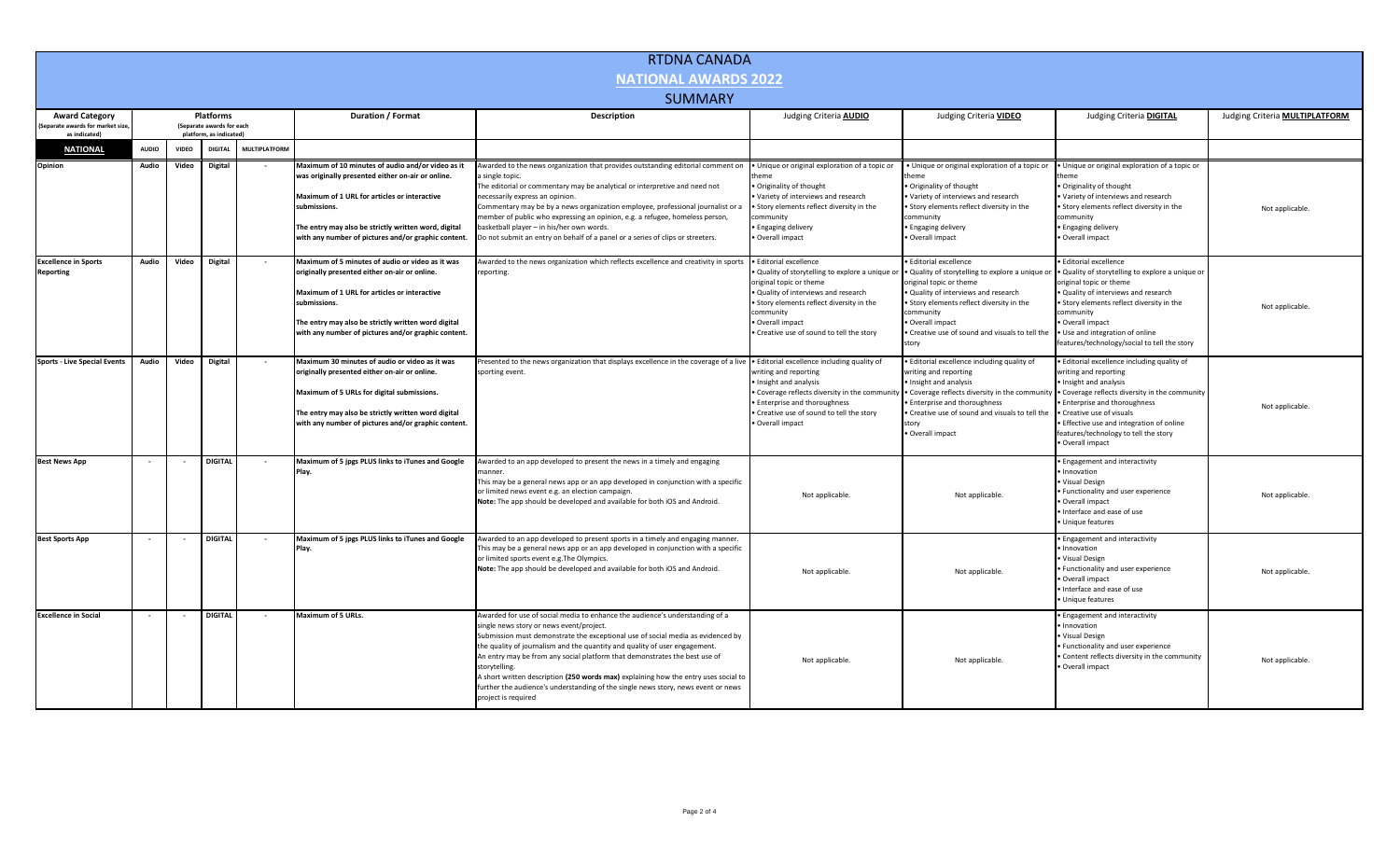| <b>RTDNA CANADA</b>                                      |                                                             |                          |                |                      |                                                                                                                                                                                                                                                                                       |                                                                                                                                                                                                                                                                                                                                                                                                                                                                                                                                                                                            |                                                                                                                                                                                                                                                                    |                                                                                                                                                                                                                                                                                            |                                                                                                                                                                                                                                                                                                                             |                                |  |
|----------------------------------------------------------|-------------------------------------------------------------|--------------------------|----------------|----------------------|---------------------------------------------------------------------------------------------------------------------------------------------------------------------------------------------------------------------------------------------------------------------------------------|--------------------------------------------------------------------------------------------------------------------------------------------------------------------------------------------------------------------------------------------------------------------------------------------------------------------------------------------------------------------------------------------------------------------------------------------------------------------------------------------------------------------------------------------------------------------------------------------|--------------------------------------------------------------------------------------------------------------------------------------------------------------------------------------------------------------------------------------------------------------------|--------------------------------------------------------------------------------------------------------------------------------------------------------------------------------------------------------------------------------------------------------------------------------------------|-----------------------------------------------------------------------------------------------------------------------------------------------------------------------------------------------------------------------------------------------------------------------------------------------------------------------------|--------------------------------|--|
| <b>NATIONAL AWARDS 2022</b>                              |                                                             |                          |                |                      |                                                                                                                                                                                                                                                                                       |                                                                                                                                                                                                                                                                                                                                                                                                                                                                                                                                                                                            |                                                                                                                                                                                                                                                                    |                                                                                                                                                                                                                                                                                            |                                                                                                                                                                                                                                                                                                                             |                                |  |
| <b>SUMMARY</b>                                           |                                                             |                          |                |                      |                                                                                                                                                                                                                                                                                       |                                                                                                                                                                                                                                                                                                                                                                                                                                                                                                                                                                                            |                                                                                                                                                                                                                                                                    |                                                                                                                                                                                                                                                                                            |                                                                                                                                                                                                                                                                                                                             |                                |  |
| <b>Award Category</b><br>Separate awards for market size | Platforms<br>Duration / Format<br>(Separate awards for each |                          |                |                      |                                                                                                                                                                                                                                                                                       | Description                                                                                                                                                                                                                                                                                                                                                                                                                                                                                                                                                                                | Judging Criteria AUDIO                                                                                                                                                                                                                                             | Judging Criteria VIDEO                                                                                                                                                                                                                                                                     | Judging Criteria DIGITAL                                                                                                                                                                                                                                                                                                    | Judging Criteria MULTIPLATFORM |  |
| as indicated)                                            | platform, as indicated)                                     |                          |                |                      |                                                                                                                                                                                                                                                                                       |                                                                                                                                                                                                                                                                                                                                                                                                                                                                                                                                                                                            |                                                                                                                                                                                                                                                                    |                                                                                                                                                                                                                                                                                            |                                                                                                                                                                                                                                                                                                                             |                                |  |
| <b>NATIONAL</b>                                          | <b>AUDIO</b>                                                | <b>VIDEO</b>             | <b>DIGITAL</b> | <b>MULTIPLATFORM</b> |                                                                                                                                                                                                                                                                                       |                                                                                                                                                                                                                                                                                                                                                                                                                                                                                                                                                                                            |                                                                                                                                                                                                                                                                    |                                                                                                                                                                                                                                                                                            |                                                                                                                                                                                                                                                                                                                             |                                |  |
| Opinion                                                  | Audio                                                       | Video                    | <b>Digital</b> |                      | Maximum of 10 minutes of audio and/or video as it<br>was originally presented either on-air or online.<br>Maximum of 1 URL for articles or interactive<br>submissions.<br>The entry may also be strictly written word, digital<br>with any number of pictures and/or graphic content. | warded to the news organization that provides outstanding editorial comment on<br>single topic.<br>The editorial or commentary may be analytical or interpretive and need not<br>necessarily express an opinion.<br>Commentary may be by a news organization employee, professional journalist or a<br>nember of public who expressing an opinion, e.g. a refugee, homeless person,<br>basketball player - in his/her own words.<br>Do not submit an entry on behalf of a panel or a series of clips or streeters.                                                                         | Unique or original exploration of a topic or<br>Originality of thought<br>Variety of interviews and research<br>· Story elements reflect diversity in the<br>ommunity<br>Engaging delivery<br>Overall impact                                                       | . Unique or original exploration of a topic or<br>· Originality of thought<br>. Variety of interviews and research<br>. Story elements reflect diversity in the<br>community<br>• Engaging delivery<br>· Overall impact                                                                    | · Unique or original exploration of a topic or<br>· Originality of thought<br>. Variety of interviews and research<br>· Story elements reflect diversity in the<br>community<br>• Engaging delivery<br>· Overall impact                                                                                                     | Not applicable.                |  |
| <b>Excellence in Sports</b><br>Reporting                 | Audio                                                       | Video                    | <b>Digital</b> |                      | Maximum of 5 minutes of audio or video as it was<br>originally presented either on-air or online.<br>Maximum of 1 URL for articles or interactive<br>submissions.<br>The entry may also be strictly written word digital<br>with any number of pictures and/or graphic content.       | Awarded to the news organization which reflects excellence and creativity in sports<br>reporting.                                                                                                                                                                                                                                                                                                                                                                                                                                                                                          | <b>Editorial excellence</b><br>Quality of storytelling to explore a unique o<br>original topic or theme<br>Quality of interviews and research<br>Story elements reflect diversity in the<br>community<br>Overall impact<br>Creative use of sound to tell the story | <b>Editorial excellence</b><br>. Quality of storytelling to explore a unique or<br>original topic or theme<br>Quality of interviews and research<br>. Story elements reflect diversity in the<br>community<br>· Overall impact<br>. Creative use of sound and visuals to tell the<br>story | <b>Editorial excellence</b><br>. Quality of storytelling to explore a unique or<br>original topic or theme<br>. Quality of interviews and research<br>· Story elements reflect diversity in the<br>community<br>· Overall impact<br>. Use and integration of online<br>features/technology/social to tell the story         | Not applicable.                |  |
| <b>Sports - Live Special Events</b>                      | Audio                                                       | Video                    | <b>Digital</b> |                      | Maximum 30 minutes of audio or video as it was<br>originally presented either on-air or online.<br>Maximum of 5 URLs for digital submissions.<br>The entry may also be strictly written word digital<br>with any number of pictures and/or graphic content.                           | Presented to the news organization that displays excellence in the coverage of a live<br>sporting event.                                                                                                                                                                                                                                                                                                                                                                                                                                                                                   | . Editorial excellence including quality of<br>riting and reporting<br>Insight and analysis<br>Coverage reflects diversity in the communi<br><b>Enterprise and thoroughness</b><br>Creative use of sound to tell the story<br>Overall impact                       | · Editorial excellence including quality of<br>writing and reporting<br>· Insight and analysis<br>• Coverage reflects diversity in the community<br>• Enterprise and thoroughness<br>. Creative use of sound and visuals to tell the<br>story<br>· Overall impact                          | · Editorial excellence including quality of<br>writing and reporting<br>Insight and analysis<br>• Coverage reflects diversity in the community<br><b>Enterprise and thoroughness</b><br>· Creative use of visuals<br>· Effective use and integration of online<br>features/technology to tell the story<br>· Overall impact | Not applicable.                |  |
| <b>Best News App</b>                                     |                                                             |                          | <b>DIGITAL</b> |                      | Maximum of 5 jpgs PLUS links to iTunes and Google<br>Play.                                                                                                                                                                                                                            | Awarded to an app developed to present the news in a timely and engaging<br>nanner.<br>This may be a general news app or an app developed in conjunction with a specific<br>or limited news event e.g. an election campaign.<br>Note: The app should be developed and available for both iOS and Android.                                                                                                                                                                                                                                                                                  | Not applicable.                                                                                                                                                                                                                                                    | Not applicable.                                                                                                                                                                                                                                                                            | · Engagement and interactivity<br>Innovation<br>Visual Design<br>· Functionality and user experience<br>Overall impact<br>· Interface and ease of use<br>Unique features                                                                                                                                                    | Not applicable.                |  |
| <b>Best Sports App</b>                                   | $\overline{\phantom{a}}$                                    | $\overline{\phantom{a}}$ | <b>DIGITAL</b> | $\sim$               | Maximum of 5 jpgs PLUS links to iTunes and Google<br>Play.                                                                                                                                                                                                                            | Awarded to an app developed to present sports in a timely and engaging manner.<br>This may be a general news app or an app developed in conjunction with a specific<br>or limited sports event e.g. The Olympics.<br>Note: The app should be developed and available for both iOS and Android.                                                                                                                                                                                                                                                                                             | Not applicable.                                                                                                                                                                                                                                                    | Not applicable.                                                                                                                                                                                                                                                                            | · Engagement and interactivity<br>Innovation<br>· Visual Design<br>· Functionality and user experience<br>· Overall impact<br>. Interface and ease of use<br>· Unique features                                                                                                                                              | Not applicable.                |  |
| <b>Excellence in Social</b>                              |                                                             |                          | <b>DIGITAL</b> |                      | Maximum of 5 URLs.                                                                                                                                                                                                                                                                    | Awarded for use of social media to enhance the audience's understanding of a<br>ingle news story or news event/project.<br>Submission must demonstrate the exceptional use of social media as evidenced by<br>the quality of journalism and the quantity and quality of user engagement.<br>An entry may be from any social platform that demonstrates the best use of<br>storytelling.<br>A short written description (250 words max) explaining how the entry uses social to<br>further the audience's understanding of the single news story, news event or news<br>project is required | Not applicable.                                                                                                                                                                                                                                                    | Not applicable.                                                                                                                                                                                                                                                                            | · Engagement and interactivity<br>Innovation<br>· Visual Design<br>· Functionality and user experience<br>. Content reflects diversity in the community<br>Overall impact                                                                                                                                                   | Not applicable.                |  |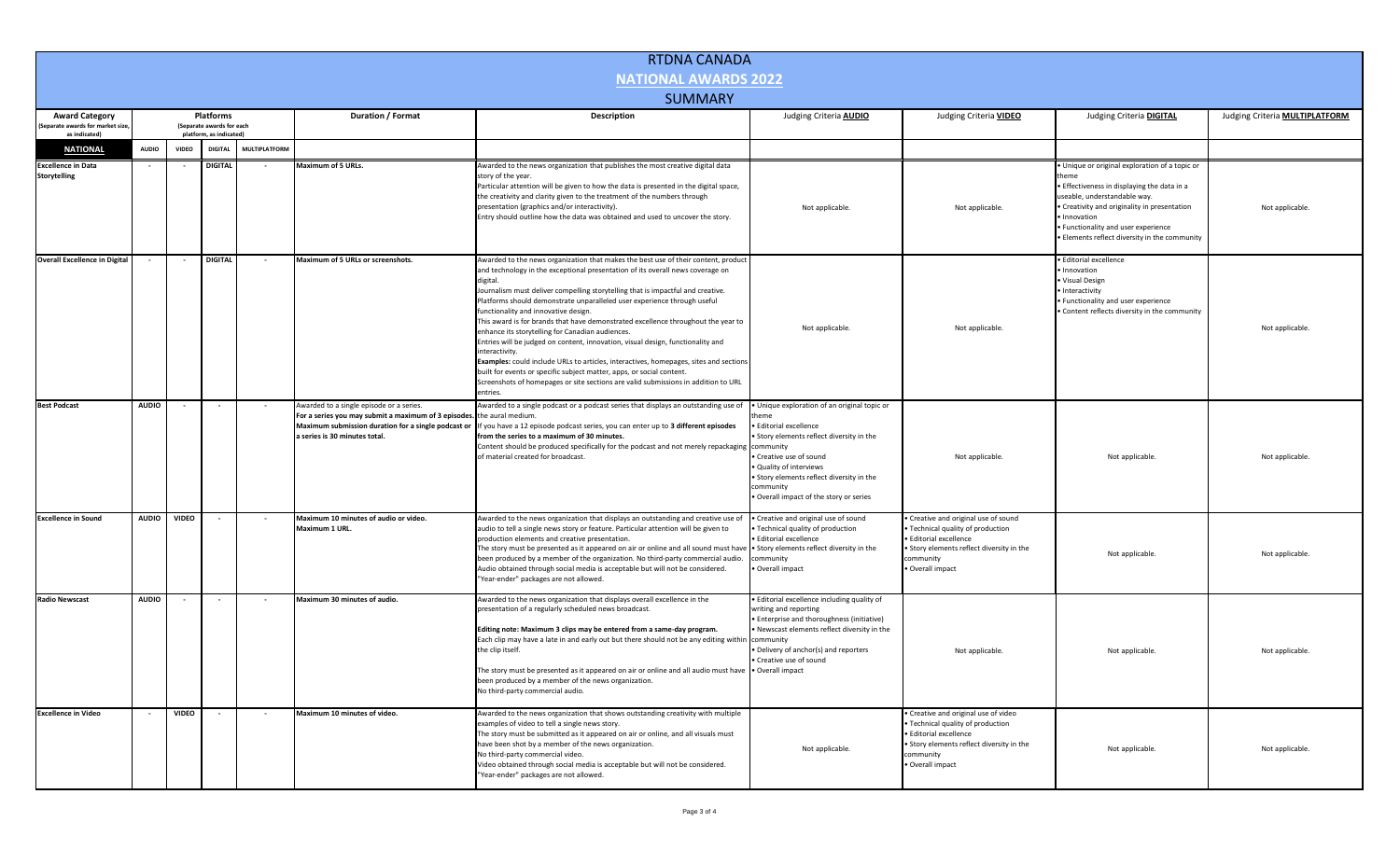|                                                   |              |                          |                                                      |                      |                                                                                                                                                     | <b>RTDNA CANADA</b>                                                                                                                                                                                                                                                                                                                                                                                                                                                                                                                                                                                                                                                                                                                                                                                                                                                                                       |                                                                                                                                                                                                                                                                                             |                                                                                                                                                                                   |                                                                                                                                                                                                                                                                                       |                                |
|---------------------------------------------------|--------------|--------------------------|------------------------------------------------------|----------------------|-----------------------------------------------------------------------------------------------------------------------------------------------------|-----------------------------------------------------------------------------------------------------------------------------------------------------------------------------------------------------------------------------------------------------------------------------------------------------------------------------------------------------------------------------------------------------------------------------------------------------------------------------------------------------------------------------------------------------------------------------------------------------------------------------------------------------------------------------------------------------------------------------------------------------------------------------------------------------------------------------------------------------------------------------------------------------------|---------------------------------------------------------------------------------------------------------------------------------------------------------------------------------------------------------------------------------------------------------------------------------------------|-----------------------------------------------------------------------------------------------------------------------------------------------------------------------------------|---------------------------------------------------------------------------------------------------------------------------------------------------------------------------------------------------------------------------------------------------------------------------------------|--------------------------------|
| <b>NATIONAL AWARDS 2022</b>                       |              |                          |                                                      |                      |                                                                                                                                                     |                                                                                                                                                                                                                                                                                                                                                                                                                                                                                                                                                                                                                                                                                                                                                                                                                                                                                                           |                                                                                                                                                                                                                                                                                             |                                                                                                                                                                                   |                                                                                                                                                                                                                                                                                       |                                |
|                                                   |              |                          |                                                      |                      |                                                                                                                                                     | <b>SUMMARY</b>                                                                                                                                                                                                                                                                                                                                                                                                                                                                                                                                                                                                                                                                                                                                                                                                                                                                                            |                                                                                                                                                                                                                                                                                             |                                                                                                                                                                                   |                                                                                                                                                                                                                                                                                       |                                |
| <b>Award Category</b>                             |              |                          | Platforms                                            |                      | Duration / Format                                                                                                                                   | Description                                                                                                                                                                                                                                                                                                                                                                                                                                                                                                                                                                                                                                                                                                                                                                                                                                                                                               | Judging Criteria <b>AUDIO</b>                                                                                                                                                                                                                                                               | Judging Criteria <b>VIDEO</b>                                                                                                                                                     | Judging Criteria <b>DIGITAL</b>                                                                                                                                                                                                                                                       | Judging Criteria MULTIPLATFORM |
| (Separate awards for market size<br>as indicated) |              |                          | (Separate awards for each<br>platform, as indicated) |                      |                                                                                                                                                     |                                                                                                                                                                                                                                                                                                                                                                                                                                                                                                                                                                                                                                                                                                                                                                                                                                                                                                           |                                                                                                                                                                                                                                                                                             |                                                                                                                                                                                   |                                                                                                                                                                                                                                                                                       |                                |
| <b>NATIONAL</b>                                   | <b>AUDIO</b> | <b>VIDEO</b>             | <b>DIGITA</b>                                        | <b>MULTIPLATFORM</b> |                                                                                                                                                     |                                                                                                                                                                                                                                                                                                                                                                                                                                                                                                                                                                                                                                                                                                                                                                                                                                                                                                           |                                                                                                                                                                                                                                                                                             |                                                                                                                                                                                   |                                                                                                                                                                                                                                                                                       |                                |
| <b>Excellence in Data</b><br><b>Storytelling</b>  |              |                          | DIGITAL                                              |                      | Maximum of 5 URLs.                                                                                                                                  | Awarded to the news organization that publishes the most creative digital data<br>story of the year.<br>Particular attention will be given to how the data is presented in the digital space,<br>the creativity and clarity given to the treatment of the numbers through<br>presentation (graphics and/or interactivity).<br>Entry should outline how the data was obtained and used to uncover the story.                                                                                                                                                                                                                                                                                                                                                                                                                                                                                               | Not applicable.                                                                                                                                                                                                                                                                             | Not applicable.                                                                                                                                                                   | . Unique or original exploration of a topic or<br>• Effectiveness in displaying the data in a<br>useable, understandable way.<br>• Creativity and originality in presentation<br>· Innovation<br>· Functionality and user experience<br>. Elements reflect diversity in the community | Not applicable.                |
| <b>Overall Excellence in Digital</b>              |              |                          | <b>DIGITAL</b>                                       |                      | Maximum of 5 URLs or screenshots.                                                                                                                   | Awarded to the news organization that makes the best use of their content, product<br>and technology in the exceptional presentation of its overall news coverage on<br>digital.<br>Journalism must deliver compelling storytelling that is impactful and creative.<br>Platforms should demonstrate unparalleled user experience through useful<br>functionality and innovative design.<br>This award is for brands that have demonstrated excellence throughout the year to<br>enhance its storytelling for Canadian audiences.<br>Entries will be judged on content, innovation, visual design, functionality and<br>interactivity.<br>Examples: could include URLs to articles, interactives, homepages, sites and sections<br>built for events or specific subject matter, apps, or social content.<br>Screenshots of homepages or site sections are valid submissions in addition to URL<br>entries. | Not applicable.                                                                                                                                                                                                                                                                             | Not applicable.                                                                                                                                                                   | · Editorial excellence<br>· Innovation<br>· Visual Design<br>· Interactivity<br>• Functionality and user experience<br>. Content reflects diversity in the community                                                                                                                  | Not applicable.                |
| <b>Best Podcast</b>                               | <b>AUDIO</b> | $\overline{\phantom{a}}$ | $\sim$                                               |                      | Awarded to a single episode or a series.<br>For a series you may submit a maximum of 3 episodes. the aural medium.<br>a series is 30 minutes total. | Awarded to a single podcast or a podcast series that displays an outstanding use of<br>Maximum submission duration for a single podcast or If you have a 12 episode podcast series, you can enter up to 3 different episodes<br>from the series to a maximum of 30 minutes.<br>Content should be produced specifically for the podcast and not merely repackaging<br>of material created for broadcast.                                                                                                                                                                                                                                                                                                                                                                                                                                                                                                   | · Unique exploration of an original topic or<br>heme<br>Editorial excellence<br>Story elements reflect diversity in the<br>community<br>• Creative use of sound<br>Quality of interviews<br>. Story elements reflect diversity in the<br>community<br>Overall impact of the story or series | Not applicable.                                                                                                                                                                   | Not applicable.                                                                                                                                                                                                                                                                       | Not applicable.                |
| <b>Excellence in Sound</b>                        | <b>AUDIO</b> | <b>VIDEO</b>             | $\sim$                                               |                      | Maximum 10 minutes of audio or video.<br>Maximum 1 URL.                                                                                             | Awarded to the news organization that displays an outstanding and creative use of<br>audio to tell a single news story or feature. Particular attention will be given to<br>production elements and creative presentation.<br>The story must be presented as it appeared on air or online and all sound must have<br>been produced by a member of the organization. No third-party commercial audio.<br>Audio obtained through social media is acceptable but will not be considered.<br>"Year-ender" packages are not allowed.                                                                                                                                                                                                                                                                                                                                                                           | • Creative and original use of sound<br>· Technical quality of production<br>Editorial excellence<br>. Story elements reflect diversity in the<br>community<br>Overall impact                                                                                                               | • Creative and original use of sound<br>• Technical quality of production<br>· Editorial excellence<br>. Story elements reflect diversity in the<br>community<br>· Overall impact | Not applicable.                                                                                                                                                                                                                                                                       | Not applicable.                |
| <b>Radio Newscast</b>                             | <b>AUDIO</b> |                          |                                                      |                      | Maximum 30 minutes of audio.                                                                                                                        | Awarded to the news organization that displays overall excellence in the<br>presentation of a regularly scheduled news broadcast.<br>Editing note: Maximum 3 clips may be entered from a same-day program.<br>Each clip may have a late in and early out but there should not be any editing within<br>the clip itself.<br>The story must be presented as it appeared on air or online and all audio must have • Overall impact<br>been produced by a member of the news organization.<br>No third-party commercial audio.                                                                                                                                                                                                                                                                                                                                                                                | · Editorial excellence including quality of<br>writing and reporting<br>· Enterprise and thoroughness (initiative)<br>Newscast elements reflect diversity in the<br>community<br>Delivery of anchor(s) and reporters<br>• Creative use of sound                                             | Not applicable.                                                                                                                                                                   | Not applicable.                                                                                                                                                                                                                                                                       | Not applicable.                |
| <b>Excellence in Video</b>                        | $\sim$       | <b>VIDEO</b>             | $\sim 10^{-1}$                                       | $\sim$               | Maximum 10 minutes of video.                                                                                                                        | Awarded to the news organization that shows outstanding creativity with multiple<br>examples of video to tell a single news story.<br>The story must be submitted as it appeared on air or online, and all visuals must<br>have been shot by a member of the news organization.<br>No third-party commercial video.<br>Video obtained through social media is acceptable but will not be considered.<br>"Year-ender" packages are not allowed.                                                                                                                                                                                                                                                                                                                                                                                                                                                            | Not applicable.                                                                                                                                                                                                                                                                             | • Creative and original use of video<br>• Technical quality of production<br>· Editorial excellence<br>. Story elements reflect diversity in the<br>community<br>· Overall impact | Not applicable.                                                                                                                                                                                                                                                                       | Not applicable.                |